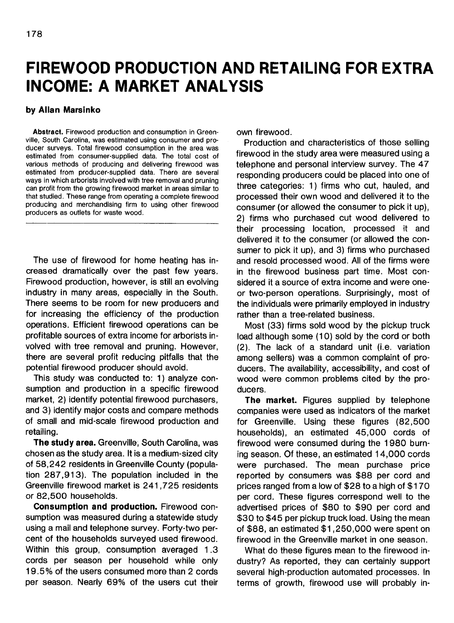## **FIREWOOD PRODUCTION AND RETAILING FOR EXTRA INCOME: A MARKET ANALYSIS**

## **by Allan Marsinko**

**Abstract.** Firewood production and consumption in Greenville, South Carolina, was estimated using consumer and producer surveys. Total firewood consumption in the area was estimated from consumer-supplied data. The total cost of various methods of producing and delivering firewood was estimated from producer-supplied data. There are several ways in which arborists involved with tree removal and pruning can profit from the growing firewood market in areas similar to that studied. These range from operating a complete firewood producing and merchandising firm to using other firewood producers as outlets for waste wood.

The use of firewood for home heating has increased dramatically over the past few years. Firewood production, however, is still an evolving industry in many areas, especially in the South. There seems to be room for new producers and for increasing the efficiency of the production operations. Efficient firewood operations can be profitable sources of extra income for arborists involved with tree removal and pruning. However, there are several profit reducing pitfalls that the potential firewood producer should avoid.

This study was conducted to: 1) analyze consumption and production in a specific firewood market, 2) identify potential firewood purchasers, and 3) identify major costs and compare methods of small and mid-scale firewood production and retailing.

**The study area.** Greenville, South Carolina, was chosen as the study area. It is a medium-sized city of 58,242 residents in Greenville County (population 287,913). The population included in the Greenville firewood market is 241,725 residents or 82,500 households.

**Consumption and production.** Firewood consumption was measured during a statewide study using a mail and telephone survey. Forty-two percent of the households surveyed used firewood. Within this group, consumption averaged 1.3 cords per season per household while only 19.5% of the users consumed more than 2 cords per season. Nearly 69% of the users cut their own firewood.

Production and characteristics of those selling firewood in the study area were measured using a telephone and personal interview survey. The 47 responding producers could be placed into one of three categories: 1) firms who cut, hauled, and processed their own wood and delivered it to the consumer (or allowed the consumer to pick it up), 2) firms who purchased cut wood delivered to their processing location, processed it and delivered it to the consumer (or allowed the consumer to pick it up), and 3) firms who purchased and resold processed wood. All of the firms were in the firewood business part time. Most considered it a source of extra income and were oneor two-person operations. Surprisingly, most of the individuals were primarily employed in industry rather than a tree-related business.

Most (33) firms sold wood by the pickup truck load although some (10) sold by the cord or both (2). The lack of a standard unit (i.e. variation among sellers) was a common complaint of producers. The availability, accessibility, and cost of wood were common problems cited by the producers.

The market. Figures supplied by telephone companies were used as indicators of the market for Greenville. Using these figures (82,500 households), an estimated 45,000 cords of firewood were consumed during the 1980 burning season. Of these, an estimated 14,000 cords were purchased. The mean purchase price reported by consumers was \$88 per cord and prices ranged from a low of \$28 to a high of \$170 per cord. These figures correspond well to the advertised prices of \$80 to \$90 per cord and \$30 to \$45 per pickup truck load. Using the mean of \$88, an estimated \$1,250,000 were spent on firewood in the Greenville market in one season.

What do these figures mean to the firewood industry? As reported, they can certainly support several high-production automated processes. In terms of growth, firewood use will probably in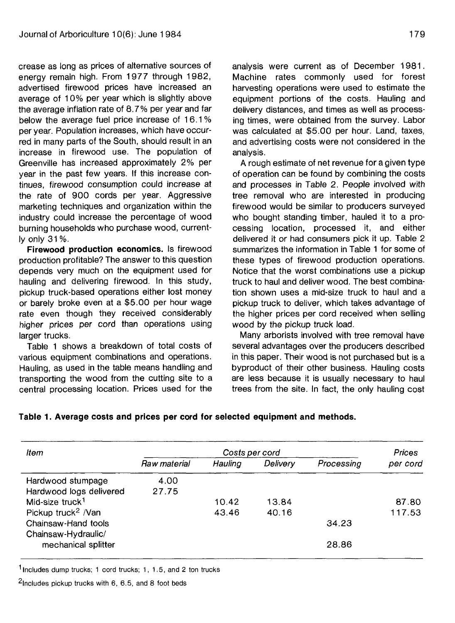crease as long as prices of alternative sources of energy remain high. From 1977 through 1982, advertised firewood prices have increased an average of 10% per year which is slightly above the average inflation rate of 8.7% per year and far below the average fuel price increase of 16.1 % per year. Population increases, which have occurred in many parts of the South, should result in an increase in firewood use. The population of Greenville has increased approximately 2% per year in the past few years. If this increase continues, firewood consumption could increase at the rate of 900 cords per year. Aggressive marketing techniques and organization within the industry could increase the percentage of wood burning households who purchase wood, currently only 31 %.

**Firewood production economics.** Is firewood production profitable? The answer to this question depends very much on the equipment used for hauling and delivering firewood. In this study, pickup truck-based operations either lost money or barely broke even at a \$5.00 per hour wage rate even though they received considerably higher prices per cord than operations using larger trucks.

Table 1 shows a breakdown of total costs of various equipment combinations and operations. Hauling, as used in the table means handling and transporting the wood from the cutting site to a central processing location. Prices used for the

analysis were current as of December 1981. Machine rates commonly used for forest harvesting operations were used to estimate the equipment portions of the costs. Hauling and delivery distances, and times as well as processing times, were obtained from the survey. Labor was calculated at \$5.00 per hour. Land, taxes, and advertising costs were not considered in the analysis.

A rough estimate of net revenue for a given type of operation can be found by combining the costs and processes in Table 2. People involved with tree removal who are interested in producing firewood would be similar to producers surveyed who bought standing timber, hauled it to a processing location, processed it, and either delivered it or had consumers pick it up. Table 2 summarizes the information in Table 1 for some of these types of firewood production operations. Notice that the worst combinations use a pickup truck to haul and deliver wood. The best combination shown uses a mid-size truck to haul and a pickup truck to deliver, which takes advantage of the higher prices per cord received when selling wood by the pickup truck load.

Many arborists involved with tree removal have several advantages over the producers described in this paper. Their wood is not purchased but is a byproduct of their other business. Hauling costs are less because it is usually necessary to haul trees from the site. In fact, the only hauling cost

**Table 1. Average costs and prices per cord for selected equipment and methods.**

| ltem                           | Costs per cord |         |          |            | <b>Prices</b> |
|--------------------------------|----------------|---------|----------|------------|---------------|
|                                | Raw material   | Hauling | Delivery | Processing | per cord      |
| Hardwood stumpage              | 4.00           |         |          |            |               |
| Hardwood logs delivered        | 27.75          |         |          |            |               |
| Mid-size truck <sup>1</sup>    |                | 10.42   | 13.84    |            | 87.80         |
| Pickup truck <sup>2</sup> /Van |                | 43.46   | 40.16    |            | 117.53        |
| Chainsaw-Hand tools            |                |         |          | 34.23      |               |
| Chainsaw-Hydraulic/            |                |         |          |            |               |
| mechanical splitter            |                |         |          | 28.86      |               |

<sup>1</sup> Includes dump trucks; 1 cord trucks; 1, 1.5, and 2 ton trucks

 $2$ Includes pickup trucks with 6, 6.5, and 8 foot beds